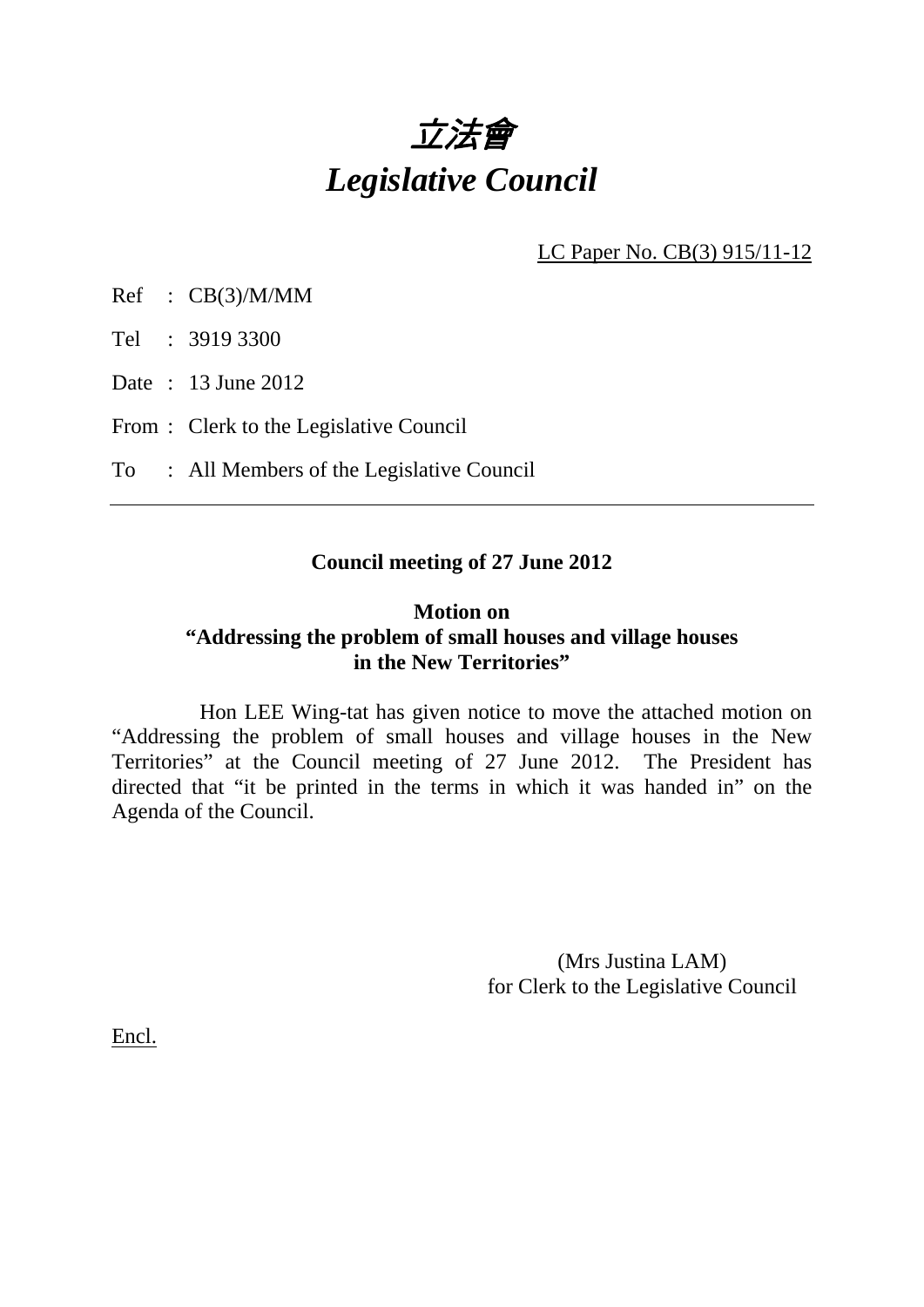

LC Paper No. CB(3) 915/11-12

Ref : CB(3)/M/MM

Tel : 3919 3300

Date : 13 June 2012

From : Clerk to the Legislative Council

To : All Members of the Legislative Council

### **Council meeting of 27 June 2012**

## **Motion on "Addressing the problem of small houses and village houses in the New Territories"**

 Hon LEE Wing-tat has given notice to move the attached motion on "Addressing the problem of small houses and village houses in the New Territories" at the Council meeting of 27 June 2012. The President has directed that "it be printed in the terms in which it was handed in" on the Agenda of the Council.

> (Mrs Justina LAM) for Clerk to the Legislative Council

Encl.